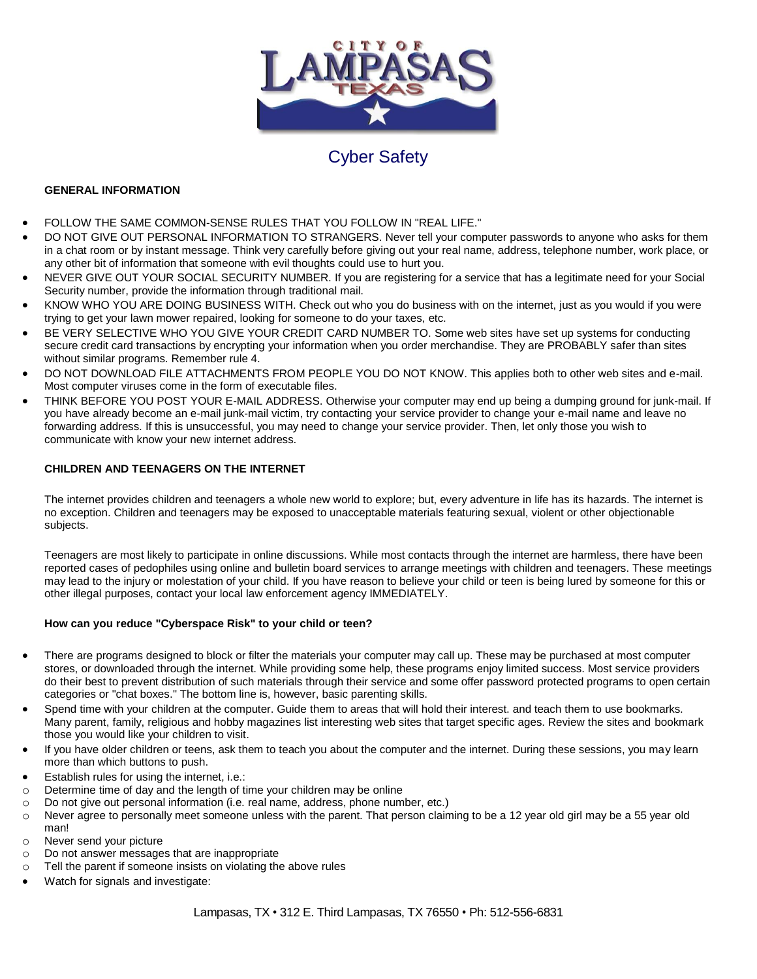

## Cyber Safety

## **GENERAL INFORMATION**

- FOLLOW THE SAME COMMON-SENSE RULES THAT YOU FOLLOW IN "REAL LIFE."
- DO NOT GIVE OUT PERSONAL INFORMATION TO STRANGERS. Never tell your computer passwords to anyone who asks for them in a chat room or by instant message. Think very carefully before giving out your real name, address, telephone number, work place, or any other bit of information that someone with evil thoughts could use to hurt you.
- NEVER GIVE OUT YOUR SOCIAL SECURITY NUMBER. If you are registering for a service that has a legitimate need for your Social Security number, provide the information through traditional mail.
- KNOW WHO YOU ARE DOING BUSINESS WITH. Check out who you do business with on the internet, just as you would if you were trying to get your lawn mower repaired, looking for someone to do your taxes, etc.
- BE VERY SELECTIVE WHO YOU GIVE YOUR CREDIT CARD NUMBER TO. Some web sites have set up systems for conducting secure credit card transactions by encrypting your information when you order merchandise. They are PROBABLY safer than sites without similar programs. Remember rule 4.
- DO NOT DOWNLOAD FILE ATTACHMENTS FROM PEOPLE YOU DO NOT KNOW. This applies both to other web sites and e-mail. Most computer viruses come in the form of executable files.
- THINK BEFORE YOU POST YOUR E-MAIL ADDRESS. Otherwise your computer may end up being a dumping ground for junk-mail. If you have already become an e-mail junk-mail victim, try contacting your service provider to change your e-mail name and leave no forwarding address. If this is unsuccessful, you may need to change your service provider. Then, let only those you wish to communicate with know your new internet address.

## **CHILDREN AND TEENAGERS ON THE INTERNET**

The internet provides children and teenagers a whole new world to explore; but, every adventure in life has its hazards. The internet is no exception. Children and teenagers may be exposed to unacceptable materials featuring sexual, violent or other objectionable subjects.

Teenagers are most likely to participate in online discussions. While most contacts through the internet are harmless, there have been reported cases of pedophiles using online and bulletin board services to arrange meetings with children and teenagers. These meetings may lead to the injury or molestation of your child. If you have reason to believe your child or teen is being lured by someone for this or other illegal purposes, contact your local law enforcement agency IMMEDIATELY.

## **How can you reduce "Cyberspace Risk" to your child or teen?**

- There are programs designed to block or filter the materials your computer may call up. These may be purchased at most computer stores, or downloaded through the internet. While providing some help, these programs enjoy limited success. Most service providers do their best to prevent distribution of such materials through their service and some offer password protected programs to open certain categories or "chat boxes." The bottom line is, however, basic parenting skills.
- Spend time with your children at the computer. Guide them to areas that will hold their interest. and teach them to use bookmarks. Many parent, family, religious and hobby magazines list interesting web sites that target specific ages. Review the sites and bookmark those you would like your children to visit.
- If you have older children or teens, ask them to teach you about the computer and the internet. During these sessions, you may learn more than which buttons to push.
- Establish rules for using the internet, i.e.:
- o Determine time of day and the length of time your children may be online
- o Do not give out personal information (i.e. real name, address, phone number, etc.)
- o Never agree to personally meet someone unless with the parent. That person claiming to be a 12 year old girl may be a 55 year old man!
- o Never send your picture
- o Do not answer messages that are inappropriate
- o Tell the parent if someone insists on violating the above rules
- Watch for signals and investigate: